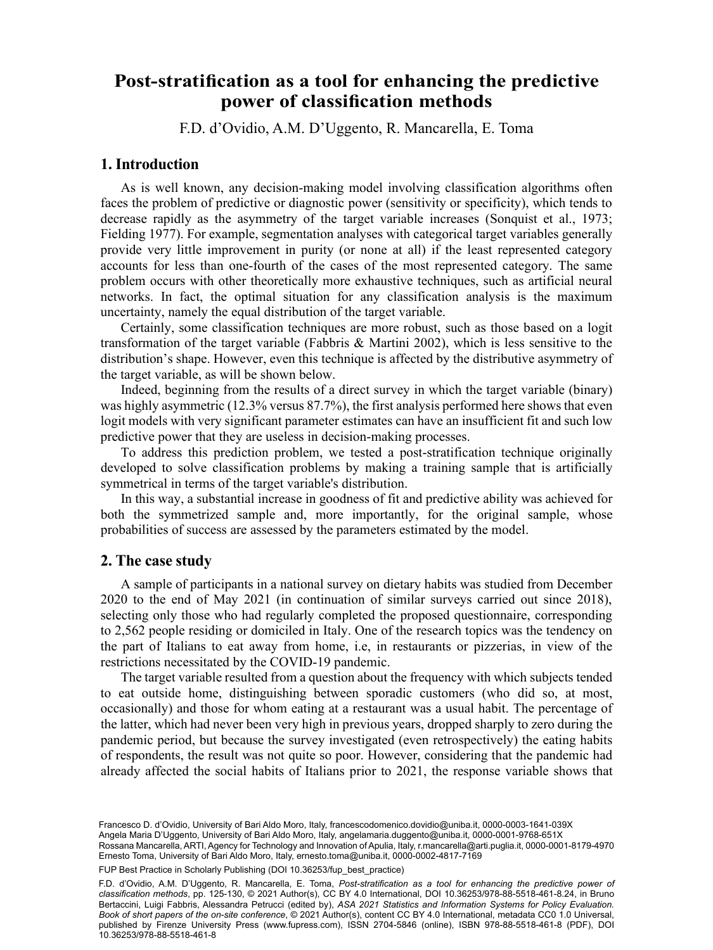# F.D. d'Ovidio<sup>a</sup> , A.M. D'Uggento<sup>a</sup> , R. Mancarellab , E. Tomaa Post-stratification as a tool for enhancing the predictive **power of classification methods**

F.D. d'Ovidio, A.M. D'Uggento, R. Mancarella, E. Toma

# **1. Introduction**

As is well known, any decision-making model involving classification algorithms often faces the problem of predictive or diagnostic power (sensitivity or specificity), which tends to decrease rapidly as the asymmetry of the target variable increases (Sonquist et al., 1973; Fielding 1977). For example, segmentation analyses with categorical target variables generally provide very little improvement in purity (or none at all) if the least represented category accounts for less than one-fourth of the cases of the most represented category. The same problem occurs with other theoretically more exhaustive techniques, such as artificial neural networks. In fact, the optimal situation for any classification analysis is the maximum uncertainty, namely the equal distribution of the target variable.

Certainly, some classification techniques are more robust, such as those based on a logit transformation of the target variable (Fabbris  $\&$  Martini 2002), which is less sensitive to the distribution's shape. However, even this technique is affected by the distributive asymmetry of the target variable, as will be shown below.

Indeed, beginning from the results of a direct survey in which the target variable (binary) was highly asymmetric (12.3% versus 87.7%), the first analysis performed here shows that even logit models with very significant parameter estimates can have an insufficient fit and such low predictive power that they are useless in decision-making processes.

To address this prediction problem, we tested a post-stratification technique originally developed to solve classification problems by making a training sample that is artificially symmetrical in terms of the target variable's distribution.

In this way, a substantial increase in goodness of fit and predictive ability was achieved for both the symmetrized sample and, more importantly, for the original sample, whose probabilities of success are assessed by the parameters estimated by the model.

#### **2. The case study**

A sample of participants in a national survey on dietary habits was studied from December 2020 to the end of May 2021 (in continuation of similar surveys carried out since 2018), selecting only those who had regularly completed the proposed questionnaire, corresponding to 2,562 people residing or domiciled in Italy. One of the research topics was the tendency on the part of Italians to eat away from home, i.e, in restaurants or pizzerias, in view of the restrictions necessitated by the COVID-19 pandemic.

The target variable resulted from a question about the frequency with which subjects tended to eat outside home, distinguishing between sporadic customers (who did so, at most, occasionally) and those for whom eating at a restaurant was a usual habit. The percentage of the latter, which had never been very high in previous years, dropped sharply to zero during the pandemic period, but because the survey investigated (even retrospectively) the eating habits of respondents, the result was not quite so poor. However, considering that the pandemic had already affected the social habits of Italians prior to 2021, the response variable shows that

113 Francesco D. d'Ovidio, University of Bari Aldo Moro, Italy, [francescodomenico.dovidio@uniba.it](mailto:francescodomenico.dovidio@uniba.it), [0000-0003-1641-039X](https://orcid.org/0000-0003-1641-039X) Angela Maria D'Uggento, University of Bari Aldo Moro, Italy, [angelamaria.duggento@uniba.it](mailto:angelamaria.duggento@uniba.it), [0000-0001-9768-651X](https://orcid.org/0000-0001-9768-651X) Rossana Mancarella, ARTI, Agency for Technology and Innovation of Apulia, Italy, [r.mancarella@arti.puglia.it](mailto:r.mancarella@arti.puglia.it), [0000-0001-8179-4970](https://orcid.org/0000-0001-8179-4970) Ernesto Toma, University of Bari Aldo Moro, Italy, [ernesto.toma@uniba.it](mailto:ernesto.toma@uniba.it), [0000-0002-4817-7169](https://orcid.org/0000-0002-4817-7169)

FUP Best Practice in Scholarly Publishing (DOI 10.36253/fup best practice)

F.D. d'Ovidio, A.M. D'Uggento, R. Mancarella, E. Toma, *Post-stratification as a tool for enhancing the predictive power of classification methods*, pp. 125-130, © 2021 Author(s), [CC BY 4.0 International](http://creativecommons.org/licenses/by/4.0/legalcode), DOI [10.36253/978-88-5518-461-8.24](https://doi.org/10.36253/978-88-5518-461-8.24), in Bruno Bertaccini, Luigi Fabbris, Alessandra Petrucci (edited by), *ASA 2021 Statistics and Information Systems for Policy Evaluation. Book of short papers of the on-site conference*, © 2021 Author(s), content [CC BY 4.0 International,](http://creativecommons.org/licenses/by/4.0/legalcode) metadata [CC0 1.0 Universal](https://creativecommons.org/publicdomain/zero/1.0/legalcode), published by Firenze University Press ([www.fupress.com\)](http://www.fupress.com), ISSN 2704-5846 (online), ISBN 978-88-5518-461-8 (PDF), DOI [10.36253/978-88-5518-461-8](https://doi.org/10.36253/978-88-5518-461-8)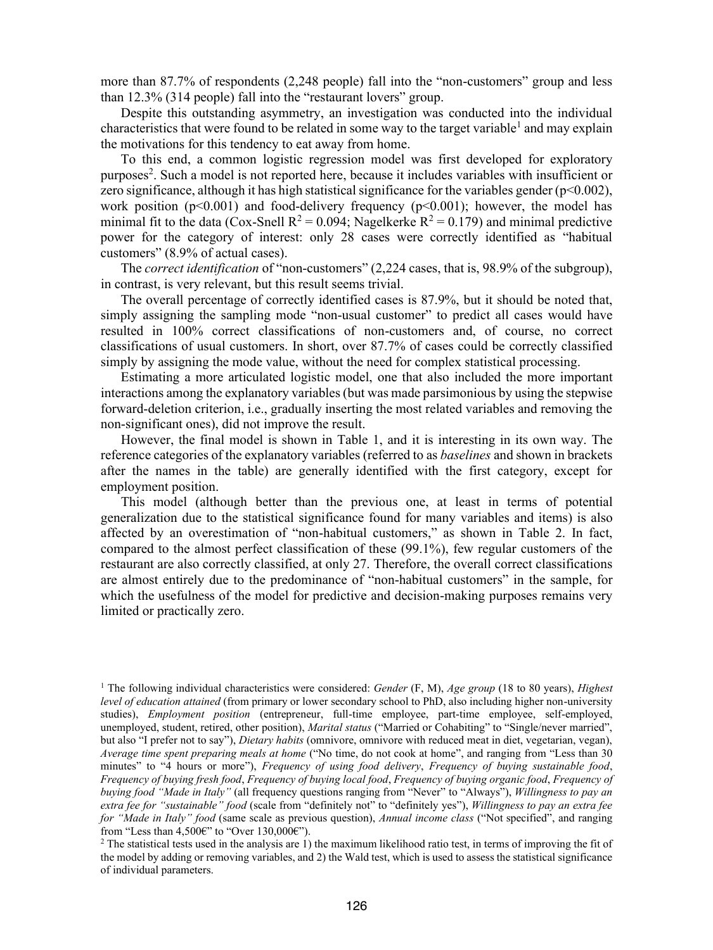more than 87.7% of respondents (2,248 people) fall into the "non-customers" group and less than 12.3% (314 people) fall into the "restaurant lovers" group.

Despite this outstanding asymmetry, an investigation was conducted into the individual characteristics that were found to be related in some way to the target variable<sup>1</sup> and may explain the motivations for this tendency to eat away from home.

To this end, a common logistic regression model was first developed for exploratory purposes<sup>2</sup>. Such a model is not reported here, because it includes variables with insufficient or zero significance, although it has high statistical significance for the variables gender  $(p<0.002)$ , work position ( $p<0.001$ ) and food-delivery frequency ( $p<0.001$ ); however, the model has minimal fit to the data (Cox-Snell  $R^2 = 0.094$ ; Nagelkerke  $R^2 = 0.179$ ) and minimal predictive power for the category of interest: only 28 cases were correctly identified as "habitual customers" (8.9% of actual cases).

The *correct identification* of "non-customers" (2,224 cases, that is, 98.9% of the subgroup), in contrast, is very relevant, but this result seems trivial.

The overall percentage of correctly identified cases is 87.9%, but it should be noted that, simply assigning the sampling mode "non-usual customer" to predict all cases would have resulted in 100% correct classifications of non-customers and, of course, no correct classifications of usual customers. In short, over 87.7% of cases could be correctly classified simply by assigning the mode value, without the need for complex statistical processing.

Estimating a more articulated logistic model, one that also included the more important interactions among the explanatory variables (but was made parsimonious by using the stepwise forward-deletion criterion, i.e., gradually inserting the most related variables and removing the non-significant ones), did not improve the result.

However, the final model is shown in Table 1, and it is interesting in its own way. The reference categories of the explanatory variables (referred to as *baselines* and shown in brackets after the names in the table) are generally identified with the first category, except for employment position.

This model (although better than the previous one, at least in terms of potential generalization due to the statistical significance found for many variables and items) is also affected by an overestimation of "non-habitual customers," as shown in Table 2. In fact, compared to the almost perfect classification of these (99.1%), few regular customers of the restaurant are also correctly classified, at only 27. Therefore, the overall correct classifications are almost entirely due to the predominance of "non-habitual customers" in the sample, for which the usefulness of the model for predictive and decision-making purposes remains very limited or practically zero.

<sup>1</sup> The following individual characteristics were considered: *Gender* (F, M), *Age group* (18 to 80 years), *Highest level of education attained* (from primary or lower secondary school to PhD, also including higher non-university studies), *Employment position* (entrepreneur, full-time employee, part-time employee, self-employed, unemployed, student, retired, other position), *Marital status* ("Married or Cohabiting" to "Single/never married", but also "I prefer not to say"), *Dietary habits* (omnivore, omnivore with reduced meat in diet, vegetarian, vegan), *Average time spent preparing meals at home* ("No time, do not cook at home", and ranging from "Less than 30 minutes" to "4 hours or more"), *Frequency of using food delivery*, *Frequency of buying sustainable food*, *Frequency of buying fresh food*, *Frequency of buying local food*, *Frequency of buying organic food*, *Frequency of buying food "Made in Italy"* (all frequency questions ranging from "Never" to "Always"), *Willingness to pay an extra fee for "sustainable" food* (scale from "definitely not" to "definitely yes"), *Willingness to pay an extra fee for "Made in Italy" food* (same scale as previous question), *Annual income class* ("Not specified", and ranging from "Less than 4,500€" to "Over 130,000€").

<sup>2</sup> The statistical tests used in the analysis are 1) the maximum likelihood ratio test, in terms of improving the fit of the model by adding or removing variables, and 2) the Wald test, which is used to assess the statistical significance of individual parameters.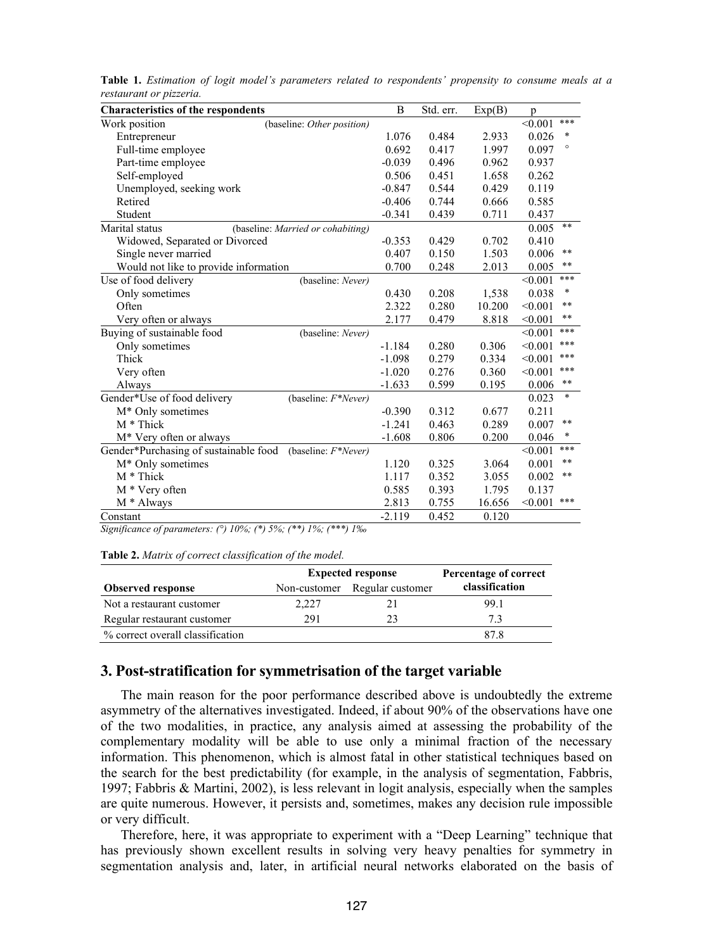| <b>Characteristics of the respondents</b>                 |          | Std. err. | Exp(B) | p                |
|-----------------------------------------------------------|----------|-----------|--------|------------------|
| Work position<br>(baseline: Other position)               |          |           |        | ***<br>< 0.001   |
| Entrepreneur                                              | 1.076    | 0.484     | 2.933  | *<br>0.026       |
| Full-time employee                                        | 0.692    | 0.417     | 1.997  | $\circ$<br>0.097 |
| Part-time employee                                        | $-0.039$ | 0.496     | 0.962  | 0.937            |
| Self-employed                                             | 0.506    | 0.451     | 1.658  | 0.262            |
| Unemployed, seeking work                                  | $-0.847$ | 0.544     | 0.429  | 0.119            |
| Retired                                                   | $-0.406$ | 0.744     | 0.666  | 0.585            |
| Student                                                   |          | 0.439     | 0.711  | 0.437            |
| Marital status<br>(baseline: Married or cohabiting)       |          |           |        | **<br>0.005      |
| Widowed, Separated or Divorced                            | $-0.353$ | 0.429     | 0.702  | 0.410            |
| Single never married                                      | 0.407    | 0.150     | 1.503  | **<br>0.006      |
| Would not like to provide information                     |          | 0.248     | 2.013  | **<br>0.005      |
| Use of food delivery<br>(baseline: Never)                 |          |           |        | ***<br>< 0.001   |
| Only sometimes                                            | 0.430    | 0.208     | 1,538  | $\ast$<br>0.038  |
| Often                                                     | 2.322    | 0.280     | 10.200 | **<br>< 0.001    |
| Very often or always                                      | 2.177    | 0.479     | 8.818  | $***$<br>< 0.001 |
| Buying of sustainable food<br>(baseline: Never)           |          |           |        | ***<br>< 0.001   |
| Only sometimes                                            | $-1.184$ | 0.280     | 0.306  | ***<br>< 0.001   |
| Thick                                                     | $-1.098$ | 0.279     | 0.334  | ***<br>< 0.001   |
| Very often                                                | $-1.020$ | 0.276     | 0.360  | ***<br>< 0.001   |
| Always                                                    | $-1.633$ | 0.599     | 0.195  | **<br>0.006      |
| Gender*Use of food delivery<br>(baseline: $F^*Never$ )    |          |           |        | $\ast$<br>0.023  |
| $M^*$ Only sometimes                                      | $-0.390$ | 0.312     | 0.677  | 0.211            |
| $M *$ Thick                                               | $-1.241$ | 0.463     | 0.289  | **<br>0.007      |
| M <sup>*</sup> Very often or always                       | $-1.608$ | 0.806     | 0.200  | *<br>0.046       |
| Gender*Purchasing of sustainable food (baseline: F*Never) |          |           |        | ***<br>< 0.001   |
| $M^*$ Only sometimes                                      | 1.120    | 0.325     | 3.064  | **<br>0.001      |
| $M *$ Thick                                               | 1.117    | 0.352     | 3.055  | **<br>0.002      |
| M * Very often                                            | 0.585    | 0.393     | 1.795  | 0.137            |
| M * Always                                                | 2.813    | 0.755     | 16.656 | ***<br>< 0.001   |
| Constant                                                  | $-2.119$ | 0.452     | 0.120  |                  |

**Table 1.** *Estimation of logit model's parameters related to respondents' propensity to consume meals at a restaurant or pizzeria.*

*Significance of parameters: (°) 10%; (\*) 5%; (\*\*) 1%; (\*\*\*) 1‰*

**Table 2.** *Matrix of correct classification of the model.*

|                                  | <b>Expected response</b> | Percentage of correct |                |
|----------------------------------|--------------------------|-----------------------|----------------|
| <b>Observed response</b>         | Non-customer             | Regular customer      | classification |
| Not a restaurant customer        | 2.227                    | 21                    | 99.1           |
| Regular restaurant customer      | 291                      | 23                    | 73             |
| % correct overall classification |                          |                       | 87.8           |

# **3. Post-stratification for symmetrisation of the target variable**

The main reason for the poor performance described above is undoubtedly the extreme asymmetry of the alternatives investigated. Indeed, if about 90% of the observations have one of the two modalities, in practice, any analysis aimed at assessing the probability of the complementary modality will be able to use only a minimal fraction of the necessary information. This phenomenon, which is almost fatal in other statistical techniques based on the search for the best predictability (for example, in the analysis of segmentation, Fabbris, 1997; Fabbris & Martini, 2002), is less relevant in logit analysis, especially when the samples are quite numerous. However, it persists and, sometimes, makes any decision rule impossible or very difficult.

Therefore, here, it was appropriate to experiment with a "Deep Learning" technique that has previously shown excellent results in solving very heavy penalties for symmetry in segmentation analysis and, later, in artificial neural networks elaborated on the basis of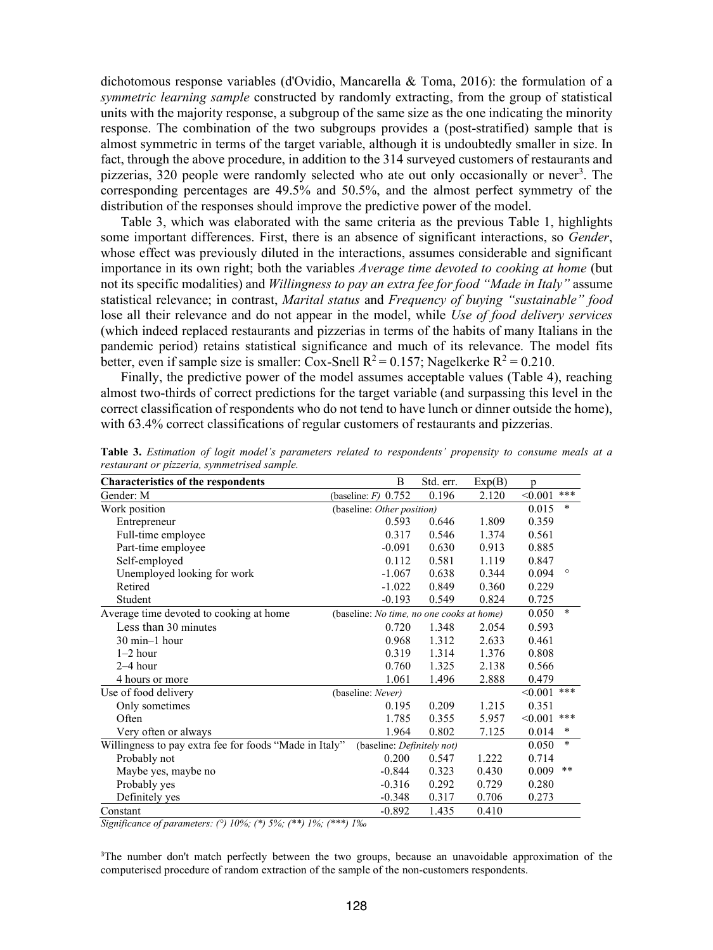dichotomous response variables (d'Ovidio, Mancarella & Toma, 2016): the formulation of a *symmetric learning sample* constructed by randomly extracting, from the group of statistical units with the majority response, a subgroup of the same size as the one indicating the minority response. The combination of the two subgroups provides a (post-stratified) sample that is almost symmetric in terms of the target variable, although it is undoubtedly smaller in size. In fact, through the above procedure, in addition to the 314 surveyed customers of restaurants and pizzerias, 320 people were randomly selected who ate out only occasionally or never<sup>3</sup>. The corresponding percentages are 49.5% and 50.5%, and the almost perfect symmetry of the distribution of the responses should improve the predictive power of the model.

Table 3, which was elaborated with the same criteria as the previous Table 1, highlights some important differences. First, there is an absence of significant interactions, so *Gender*, whose effect was previously diluted in the interactions, assumes considerable and significant importance in its own right; both the variables *Average time devoted to cooking at home* (but not its specific modalities) and *Willingness to pay an extra fee for food "Made in Italy"* assume statistical relevance; in contrast, *Marital status* and *Frequency of buying "sustainable" food* lose all their relevance and do not appear in the model, while *Use of food delivery services* (which indeed replaced restaurants and pizzerias in terms of the habits of many Italians in the pandemic period) retains statistical significance and much of its relevance. The model fits better, even if sample size is smaller: Cox-Snell  $R^2 = 0.157$ ; Nagelkerke  $R^2 = 0.210$ .

Finally, the predictive power of the model assumes acceptable values (Table 4), reaching almost two-thirds of correct predictions for the target variable (and surpassing this level in the correct classification of respondents who do not tend to have lunch or dinner outside the home), with 63.4% correct classifications of regular customers of restaurants and pizzerias.

| <b>Characteristics of the respondents</b>                                            | B                                         | Std. err. | Exp(B) | p       |                 |
|--------------------------------------------------------------------------------------|-------------------------------------------|-----------|--------|---------|-----------------|
| Gender: M                                                                            | (baseline: $F$ ) 0.752                    | 0.196     | 2.120  | < 0.001 | ***             |
| Work position                                                                        | (baseline: Other position)                |           |        | 0.015   | $\ast$          |
| Entrepreneur                                                                         | 0.593                                     | 0.646     | 1.809  | 0.359   |                 |
| Full-time employee                                                                   | 0.317                                     | 0.546     | 1.374  | 0.561   |                 |
| Part-time employee                                                                   | $-0.091$                                  | 0.630     | 0.913  | 0.885   |                 |
| Self-employed                                                                        | 0.112                                     | 0.581     | 1.119  | 0.847   |                 |
| Unemployed looking for work                                                          | $-1.067$                                  | 0.638     | 0.344  | 0.094   | $\circ$         |
| Retired                                                                              | $-1.022$                                  | 0.849     | 0.360  | 0.229   |                 |
| Student                                                                              | $-0.193$                                  | 0.549     | 0.824  | 0.725   |                 |
| Average time devoted to cooking at home                                              | (baseline: No time, no one cooks at home) |           |        | 0.050   | $\ast$          |
| Less than 30 minutes                                                                 | 0.720                                     | 1.348     | 2.054  | 0.593   |                 |
| $30 \text{ min} - 1 \text{ hour}$                                                    | 0.968                                     | 1.312     | 2.633  | 0.461   |                 |
| $1-2$ hour                                                                           | 0.319                                     | 1.314     | 1.376  | 0.808   |                 |
| $2-4$ hour                                                                           | 0.760                                     | 1.325     | 2.138  | 0.566   |                 |
| 4 hours or more                                                                      | 1.061                                     | 1.496     | 2.888  | 0.479   |                 |
| Use of food delivery                                                                 | (baseline: Never)                         |           |        | < 0.001 | ***             |
| Only sometimes                                                                       | 0.195                                     | 0.209     | 1.215  | 0.351   |                 |
| Often                                                                                | 1.785                                     | 0.355     | 5.957  | < 0.001 | ***             |
| Very often or always                                                                 | 1.964                                     | 0.802     | 7.125  | 0.014   | $\ast$          |
| Willingness to pay extra fee for foods "Made in Italy"<br>(baseline: Definitely not) |                                           |           |        |         | $\ast$<br>0.050 |
| Probably not                                                                         | 0.200                                     | 0.547     | 1.222  | 0.714   |                 |
| Maybe yes, maybe no                                                                  | $-0.844$                                  | 0.323     | 0.430  | 0.009   | $***$           |
| Probably yes                                                                         | $-0.316$                                  | 0.292     | 0.729  | 0.280   |                 |
| Definitely yes                                                                       | $-0.348$                                  | 0.317     | 0.706  | 0.273   |                 |
| Constant                                                                             | $-0.892$                                  | 1.435     | 0.410  |         |                 |

**Table 3.** *Estimation of logit model's parameters related to respondents' propensity to consume meals at a restaurant or pizzeria, symmetrised sample.*

*Significance of parameters: (°) 10%; (\*) 5%; (\*\*) 1%; (\*\*\*) 1‰*

<sup>3</sup>The number don't match perfectly between the two groups, because an unavoidable approximation of the computerised procedure of random extraction of the sample of the non-customers respondents.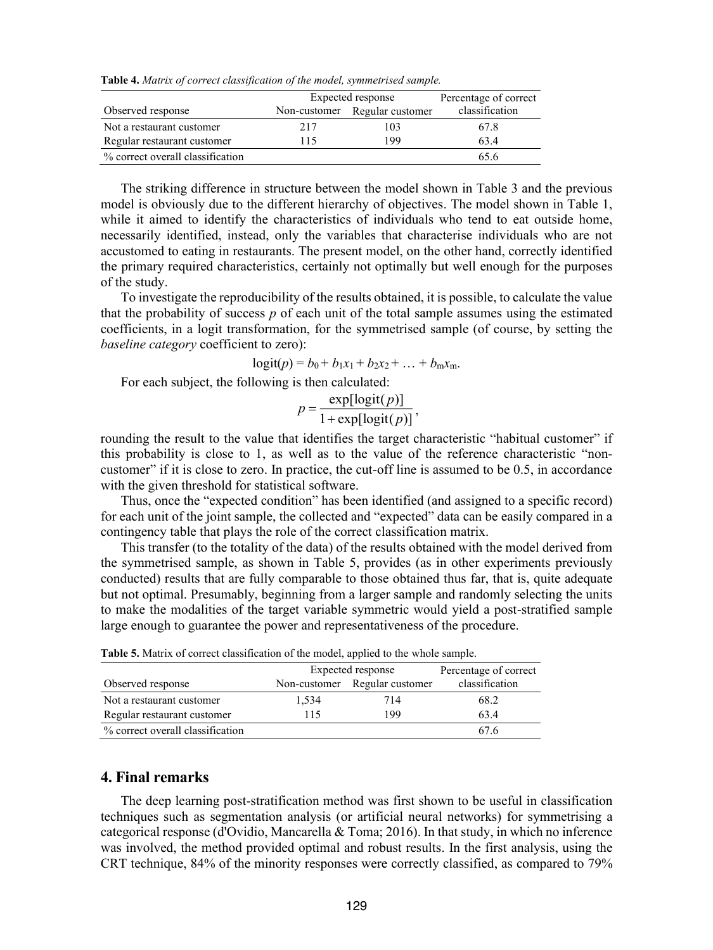**Table 4.** *Matrix of correct classification of the model, symmetrised sample.*

|                                  | Expected response |                               | Percentage of correct |
|----------------------------------|-------------------|-------------------------------|-----------------------|
| Observed response                |                   | Non-customer Regular customer | classification        |
| Not a restaurant customer        | 217               | 103                           | 67.8                  |
| Regular restaurant customer      | 115               | 199                           | 634                   |
| % correct overall classification |                   |                               | 65.6                  |

The striking difference in structure between the model shown in Table 3 and the previous model is obviously due to the different hierarchy of objectives. The model shown in Table 1, while it aimed to identify the characteristics of individuals who tend to eat outside home, necessarily identified, instead, only the variables that characterise individuals who are not accustomed to eating in restaurants. The present model, on the other hand, correctly identified the primary required characteristics, certainly not optimally but well enough for the purposes of the study.

To investigate the reproducibility of the results obtained, it is possible, to calculate the value that the probability of success  $p$  of each unit of the total sample assumes using the estimated coefficients, in a logit transformation, for the symmetrised sample (of course, by setting the *baseline category* coefficient to zero):

$$
logit(p) = b_0 + b_1x_1 + b_2x_2 + \ldots + b_mx_m.
$$

For each subject, the following is then calculated:

$$
p = \frac{\exp[\text{logit}(p)]}{1 + \exp[\text{logit}(p)]},
$$

rounding the result to the value that identifies the target characteristic "habitual customer" if this probability is close to 1, as well as to the value of the reference characteristic "noncustomer" if it is close to zero. In practice, the cut-off line is assumed to be 0.5, in accordance with the given threshold for statistical software.

Thus, once the "expected condition" has been identified (and assigned to a specific record) for each unit of the joint sample, the collected and "expected" data can be easily compared in a contingency table that plays the role of the correct classification matrix.

This transfer (to the totality of the data) of the results obtained with the model derived from the symmetrised sample, as shown in Table 5, provides (as in other experiments previously conducted) results that are fully comparable to those obtained thus far, that is, quite adequate but not optimal. Presumably, beginning from a larger sample and randomly selecting the units to make the modalities of the target variable symmetric would yield a post-stratified sample large enough to guarantee the power and representativeness of the procedure.

| There or mutual or correct encompution or the model, upplied to the whole sumple. |                   |                       |                |  |
|-----------------------------------------------------------------------------------|-------------------|-----------------------|----------------|--|
|                                                                                   | Expected response | Percentage of correct |                |  |
| Observed response                                                                 | Non-customer      | Regular customer      | classification |  |
| Not a restaurant customer                                                         | 1,534             | 714                   | 68.2           |  |
| Regular restaurant customer                                                       | 115               | 199                   | 63.4           |  |
| % correct overall classification                                                  |                   |                       | 67.6           |  |

**Table 5.** Matrix of correct classification of the model, applied to the whole sample.

## **4. Final remarks**

The deep learning post-stratification method was first shown to be useful in classification techniques such as segmentation analysis (or artificial neural networks) for symmetrising a categorical response (d'Ovidio, Mancarella & Toma; 2016). In that study, in which no inference was involved, the method provided optimal and robust results. In the first analysis, using the CRT technique, 84% of the minority responses were correctly classified, as compared to 79%